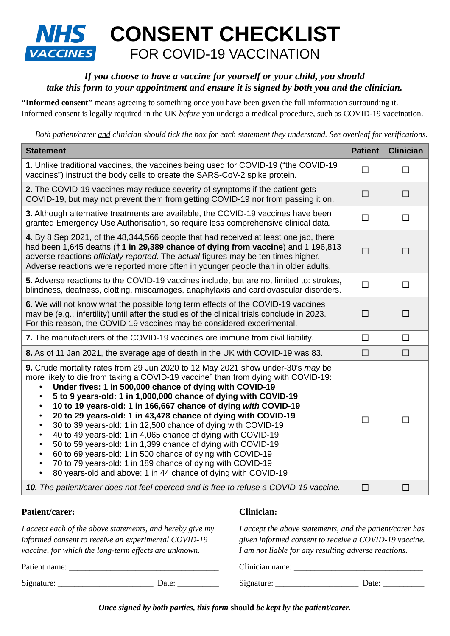# **NHS** CONSENT CHECKLIST **VACCINES** FOR COVID-19 VACCINATION

## *If you choose to have a vaccine for yourself or your child, you should take this form to your appointment and ensure it is signed by both you and the clinician.*

**"Informed consent"** means agreeing to something once you have been given the full information surrounding it. Informed consent is legally required in the UK *before* you undergo a medical procedure, such as COVID-19 vaccination.

*Both patient/carer and clinician should tick the box for each statement they understand. See overleaf for verifications.*

| <b>Statement</b>                                                                                                                                                                                                                                                                                                                                                                                                                                                                                                                                                                                                                                                                                                                                                                                                                                                                                   | <b>Patient</b> | <b>Clinician</b> |
|----------------------------------------------------------------------------------------------------------------------------------------------------------------------------------------------------------------------------------------------------------------------------------------------------------------------------------------------------------------------------------------------------------------------------------------------------------------------------------------------------------------------------------------------------------------------------------------------------------------------------------------------------------------------------------------------------------------------------------------------------------------------------------------------------------------------------------------------------------------------------------------------------|----------------|------------------|
| 1. Unlike traditional vaccines, the vaccines being used for COVID-19 ("the COVID-19<br>vaccines") instruct the body cells to create the SARS-CoV-2 spike protein.                                                                                                                                                                                                                                                                                                                                                                                                                                                                                                                                                                                                                                                                                                                                  | $\Box$         | $\Box$           |
| <b>2.</b> The COVID-19 vaccines may reduce severity of symptoms if the patient gets<br>COVID-19, but may not prevent them from getting COVID-19 nor from passing it on.                                                                                                                                                                                                                                                                                                                                                                                                                                                                                                                                                                                                                                                                                                                            | □              | □                |
| 3. Although alternative treatments are available, the COVID-19 vaccines have been<br>granted Emergency Use Authorisation, so require less comprehensive clinical data.                                                                                                                                                                                                                                                                                                                                                                                                                                                                                                                                                                                                                                                                                                                             | $\Box$         | $\Box$           |
| 4. By 8 Sep 2021, of the 48,344,566 people that had received at least one jab, there<br>had been $1,645$ deaths ( $\uparrow$ 1 in 29,389 chance of dying from vaccine) and 1,196,813<br>adverse reactions officially reported. The actual figures may be ten times higher.<br>Adverse reactions were reported more often in younger people than in older adults.                                                                                                                                                                                                                                                                                                                                                                                                                                                                                                                                   | $\Box$         | $\Box$           |
| 5. Adverse reactions to the COVID-19 vaccines include, but are not limited to: strokes,<br>blindness, deafness, clotting, miscarriages, anaphylaxis and cardiovascular disorders.                                                                                                                                                                                                                                                                                                                                                                                                                                                                                                                                                                                                                                                                                                                  | П              | □                |
| 6. We will not know what the possible long term effects of the COVID-19 vaccines<br>may be (e.g., infertility) until after the studies of the clinical trials conclude in 2023.<br>For this reason, the COVID-19 vaccines may be considered experimental.                                                                                                                                                                                                                                                                                                                                                                                                                                                                                                                                                                                                                                          | П              | П                |
| 7. The manufacturers of the COVID-19 vaccines are immune from civil liability.                                                                                                                                                                                                                                                                                                                                                                                                                                                                                                                                                                                                                                                                                                                                                                                                                     | $\Box$         | $\Box$           |
| 8. As of 11 Jan 2021, the average age of death in the UK with COVID-19 was 83.                                                                                                                                                                                                                                                                                                                                                                                                                                                                                                                                                                                                                                                                                                                                                                                                                     | $\Box$         | $\Box$           |
| 9. Crude mortality rates from 29 Jun 2020 to 12 May 2021 show under-30's may be<br>more likely to die from taking a COVID-19 vaccine <sup>†</sup> than from dying with COVID-19:<br>Under fives: 1 in 500,000 chance of dying with COVID-19<br>5 to 9 years-old: 1 in 1,000,000 chance of dying with COVID-19<br>10 to 19 years-old: 1 in 166,667 chance of dying with COVID-19<br>20 to 29 years-old: 1 in 43,478 chance of dying with COVID-19<br>30 to 39 years-old: 1 in 12,500 chance of dying with COVID-19<br>40 to 49 years-old: 1 in 4,065 chance of dying with COVID-19<br>50 to 59 years-old: 1 in 1,399 chance of dying with COVID-19<br>$\bullet$<br>60 to 69 years-old: 1 in 500 chance of dying with COVID-19<br>$\bullet$<br>70 to 79 years-old: 1 in 189 chance of dying with COVID-19<br>$\bullet$<br>80 years-old and above: 1 in 44 chance of dying with COVID-19<br>$\bullet$ | $\Box$         | П                |
| 10. The patient/carer does not feel coerced and is free to refuse a COVID-19 vaccine.                                                                                                                                                                                                                                                                                                                                                                                                                                                                                                                                                                                                                                                                                                                                                                                                              | $\Box$         | $\Box$           |

### **Patient/carer: Clinician:**

*I accept each of the above statements, and hereby give my I accept the above statements, and the patient/carer has informed consent to receive an experimental COVID-19 given informed consent to receive a COVID-19 vaccine. vaccine, for which the long-term effects are unknown. I am not liable for any resulting adverse reactions.*

Patient name: \_\_\_\_\_\_\_\_\_\_\_\_\_\_\_\_\_\_\_\_\_\_\_\_\_\_\_\_\_\_\_\_\_\_\_\_ Clinician name: \_\_\_\_\_\_\_\_\_\_\_\_\_\_\_\_\_\_\_\_\_\_\_\_\_\_\_\_\_\_\_

Signature: \_\_\_\_\_\_\_\_\_\_\_\_\_\_\_\_\_\_\_\_\_\_\_ Date: \_\_\_\_\_\_\_\_\_\_ Signature: \_\_\_\_\_\_\_\_\_\_\_\_\_\_\_\_\_\_\_\_ Date: \_\_\_\_\_\_\_\_\_\_

*Once signed by both parties, this form* **should** *be kept by the patient/carer.*